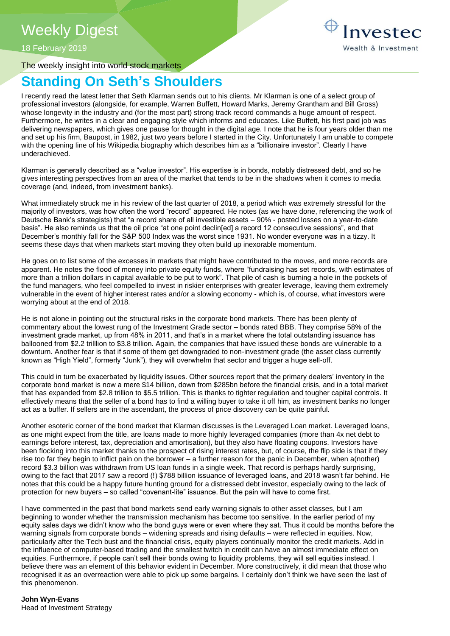## Weekly Digest

18 February 2019

The weekly insight into world stock markets

# **Standing On Seth's Shoulders**

I recently read the latest letter that Seth Klarman sends out to his clients. Mr Klarman is one of a select group of professional investors (alongside, for example, Warren Buffett, Howard Marks, Jeremy Grantham and Bill Gross) whose longevity in the industry and (for the most part) strong track record commands a huge amount of respect. Furthermore, he writes in a clear and engaging style which informs and educates. Like Buffett, his first paid job was delivering newspapers, which gives one pause for thought in the digital age. I note that he is four years older than me and set up his firm, Baupost, in 1982, just two years before I started in the City. Unfortunately I am unable to compete with the opening line of his Wikipedia biography which describes him as a "billionaire investor". Clearly I have underachieved.

Klarman is generally described as a "value investor". His expertise is in bonds, notably distressed debt, and so he gives interesting perspectives from an area of the market that tends to be in the shadows when it comes to media coverage (and, indeed, from investment banks).

What immediately struck me in his review of the last quarter of 2018, a period which was extremely stressful for the majority of investors, was how often the word "record" appeared. He notes (as we have done, referencing the work of Deutsche Bank's strategists) that "a record share of all investible assets – 90% - posted losses on a year-to-date basis". He also reminds us that the oil price "at one point declin[ed] a record 12 consecutive sessions", and that December's monthly fall for the S&P 500 Index was the worst since 1931. No wonder everyone was in a tizzy. It seems these days that when markets start moving they often build up inexorable momentum.

He goes on to list some of the excesses in markets that might have contributed to the moves, and more records are apparent. He notes the flood of money into private equity funds, where "fundraising has set records, with estimates of more than a trillion dollars in capital available to be put to work". That pile of cash is burning a hole in the pockets of the fund managers, who feel compelled to invest in riskier enterprises with greater leverage, leaving them extremely vulnerable in the event of higher interest rates and/or a slowing economy - which is, of course, what investors were worrying about at the end of 2018.

He is not alone in pointing out the structural risks in the corporate bond markets. There has been plenty of commentary about the lowest rung of the Investment Grade sector – bonds rated BBB. They comprise 58% of the investment grade market, up from 48% in 2011, and that's in a market where the total outstanding issuance has ballooned from \$2.2 trilllion to \$3.8 trillion. Again, the companies that have issued these bonds are vulnerable to a downturn. Another fear is that if some of them get downgraded to non-investment grade (the asset class currently known as "High Yield", formerly "Junk"), they will overwhelm that sector and trigger a huge sell-off.

This could in turn be exacerbated by liquidity issues. Other sources report that the primary dealers' inventory in the corporate bond market is now a mere \$14 billion, down from \$285bn before the financial crisis, and in a total market that has expanded from \$2.8 trillion to \$5.5 trillion. This is thanks to tighter regulation and tougher capital controls. It effectively means that the seller of a bond has to find a willing buyer to take it off him, as investment banks no longer act as a buffer. If sellers are in the ascendant, the process of price discovery can be quite painful.

Another esoteric corner of the bond market that Klarman discusses is the Leveraged Loan market. Leveraged loans, as one might expect from the title, are loans made to more highly leveraged companies (more than 4x net debt to earnings before interest, tax, depreciation and amortisation), but they also have floating coupons. Investors have been flocking into this market thanks to the prospect of rising interest rates, but, of course, the flip side is that if they rise too far they begin to inflict pain on the borrower – a further reason for the panic in December, when a(nother) record \$3.3 billion was withdrawn from US loan funds in a single week. That record is perhaps hardly surprising, owing to the fact that 2017 saw a record (!) \$788 billion issuance of leveraged loans, and 2018 wasn't far behind. He notes that this could be a happy future hunting ground for a distressed debt investor, especially owing to the lack of protection for new buyers – so called "covenant-lite" issuance. But the pain will have to come first.

I have commented in the past that bond markets send early warning signals to other asset classes, but I am beginning to wonder whether the transmission mechanism has become too sensitive. In the earlier period of my equity sales days we didn't know who the bond guys were or even where they sat. Thus it could be months before the warning signals from corporate bonds – widening spreads and rising defaults – were reflected in equities. Now, particularly after the Tech bust and the financial crisis, equity players continually monitor the credit markets. Add in the influence of computer-based trading and the smallest twitch in credit can have an almost immediate effect on equities. Furthermore, if people can't sell their bonds owing to liquidity problems, they will sell equities instead. I believe there was an element of this behavior evident in December. More constructively, it did mean that those who recognised it as an overreaction were able to pick up some bargains. I certainly don't think we have seen the last of this phenomenon.

**John Wyn-Evans**  Head of Investment Strategy